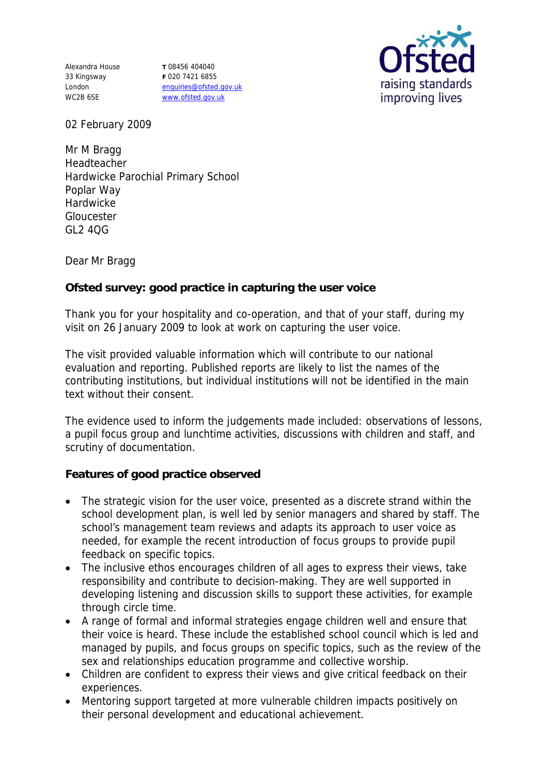Alexandra House 33 Kingsway London WC2B 6SE

**T** 08456 404040 **F** 020 7421 6855 enquiries@ofsted.gov.uk www.ofsted.gov.uk



02 February 2009

Mr M Bragg Headteacher Hardwicke Parochial Primary School Poplar Way Hardwicke Gloucester  $G124OG$ 

Dear Mr Bragg

**Ofsted survey: good practice in capturing the user voice** 

Thank you for your hospitality and co-operation, and that of your staff, during my visit on 26 January 2009 to look at work on capturing the user voice.

The visit provided valuable information which will contribute to our national evaluation and reporting. Published reports are likely to list the names of the contributing institutions, but individual institutions will not be identified in the main text without their consent.

The evidence used to inform the judgements made included: observations of lessons, a pupil focus group and lunchtime activities, discussions with children and staff, and scrutiny of documentation.

**Features of good practice observed**

- The strategic vision for the user voice, presented as a discrete strand within the school development plan, is well led by senior managers and shared by staff. The school's management team reviews and adapts its approach to user voice as needed, for example the recent introduction of focus groups to provide pupil feedback on specific topics.
- The inclusive ethos encourages children of all ages to express their views, take responsibility and contribute to decision-making. They are well supported in developing listening and discussion skills to support these activities, for example through circle time.
- A range of formal and informal strategies engage children well and ensure that their voice is heard. These include the established school council which is led and managed by pupils, and focus groups on specific topics, such as the review of the sex and relationships education programme and collective worship.
- Children are confident to express their views and give critical feedback on their experiences.
- Mentoring support targeted at more vulnerable children impacts positively on their personal development and educational achievement.